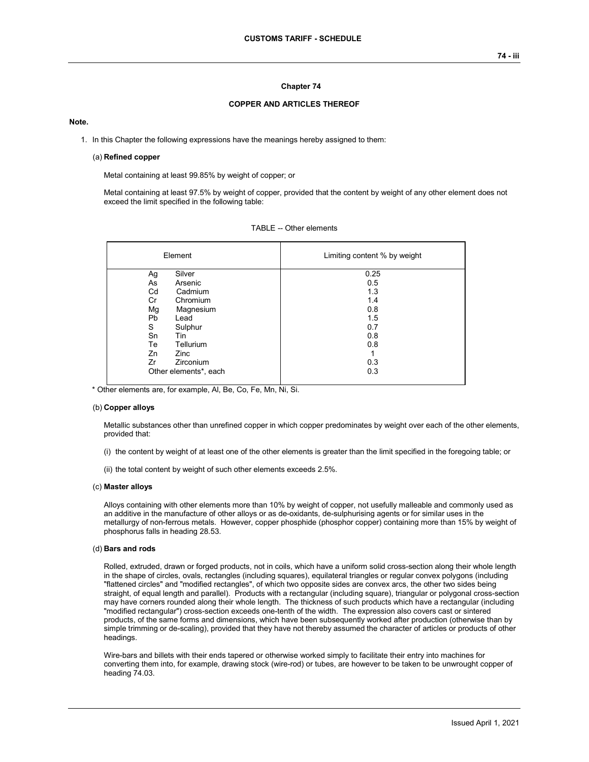# **Chapter 74**

### **COPPER AND ARTICLES THEREOF**

#### **Note.**

1. In this Chapter the following expressions have the meanings hereby assigned to them:

# (a) **Refined copper**

Metal containing at least 99.85% by weight of copper; or

Metal containing at least 97.5% by weight of copper, provided that the content by weight of any other element does not exceed the limit specified in the following table:

| Element                | Limiting content % by weight |  |
|------------------------|------------------------------|--|
| Silver<br>Ag           | 0.25                         |  |
| Arsenic<br>As          | 0.5                          |  |
| Cd<br>Cadmium          | 1.3                          |  |
| Chromium<br>Cr         | 1.4                          |  |
| Magnesium<br>Mg        | 0.8                          |  |
| <b>Pb</b><br>Lead      | 1.5                          |  |
| S<br>Sulphur           | 0.7                          |  |
| Sn<br>Tin              | 0.8                          |  |
| Tellurium<br>Тe        | 0.8                          |  |
| Zn<br>Zinc             | 1                            |  |
| <b>Zirconium</b><br>Zr | 0.3                          |  |
| Other elements*, each  | 0.3                          |  |

| TABLE -- Other elements |  |  |
|-------------------------|--|--|
|-------------------------|--|--|

\* Other elements are, for example, Al, Be, Co, Fe, Mn, Ni, Si.

# (b) **Copper alloys**

Metallic substances other than unrefined copper in which copper predominates by weight over each of the other elements, provided that:

- (i) the content by weight of at least one of the other elements is greater than the limit specified in the foregoing table; or
- (ii) the total content by weight of such other elements exceeds 2.5%.

#### (c) **Master alloys**

Alloys containing with other elements more than 10% by weight of copper, not usefully malleable and commonly used as an additive in the manufacture of other alloys or as de-oxidants, de-sulphurising agents or for similar uses in the metallurgy of non-ferrous metals. However, copper phosphide (phosphor copper) containing more than 15% by weight of phosphorus falls in heading 28.53.

#### (d) **Bars and rods**

Rolled, extruded, drawn or forged products, not in coils, which have a uniform solid cross-section along their whole length in the shape of circles, ovals, rectangles (including squares), equilateral triangles or regular convex polygons (including "flattened circles" and "modified rectangles", of which two opposite sides are convex arcs, the other two sides being straight, of equal length and parallel). Products with a rectangular (including square), triangular or polygonal cross-section may have corners rounded along their whole length. The thickness of such products which have a rectangular (including "modified rectangular") cross-section exceeds one-tenth of the width. The expression also covers cast or sintered products, of the same forms and dimensions, which have been subsequently worked after production (otherwise than by simple trimming or de-scaling), provided that they have not thereby assumed the character of articles or products of other headings.

Wire-bars and billets with their ends tapered or otherwise worked simply to facilitate their entry into machines for converting them into, for example, drawing stock (wire-rod) or tubes, are however to be taken to be unwrought copper of heading 74.03.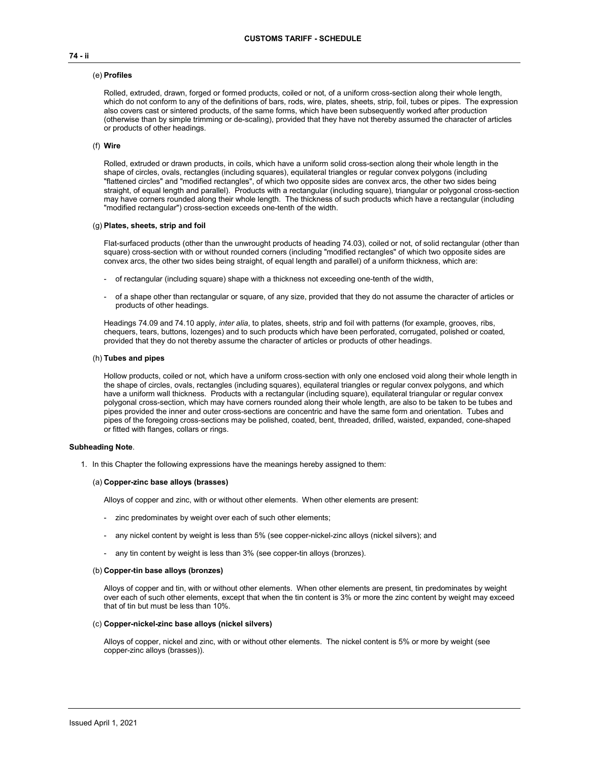### Rolled, extruded, drawn, forged or formed products, coiled or not, of a uniform cross-section along their whole length, which do not conform to any of the definitions of bars, rods, wire, plates, sheets, strip, foil, tubes or pipes. The expression also covers cast or sintered products, of the same forms, which have been subsequently worked after production (otherwise than by simple trimming or de-scaling), provided that they have not thereby assumed the character of articles or products of other headings.

# (f) **Wire**

(e) **Profiles**

Rolled, extruded or drawn products, in coils, which have a uniform solid cross-section along their whole length in the shape of circles, ovals, rectangles (including squares), equilateral triangles or regular convex polygons (including "flattened circles" and "modified rectangles", of which two opposite sides are convex arcs, the other two sides being straight, of equal length and parallel). Products with a rectangular (including square), triangular or polygonal cross-section may have corners rounded along their whole length. The thickness of such products which have a rectangular (including "modified rectangular") cross-section exceeds one-tenth of the width.

#### (g) **Plates, sheets, strip and foil**

Flat-surfaced products (other than the unwrought products of heading 74.03), coiled or not, of solid rectangular (other than square) cross-section with or without rounded corners (including "modified rectangles" of which two opposite sides are convex arcs, the other two sides being straight, of equal length and parallel) of a uniform thickness, which are:

- of rectangular (including square) shape with a thickness not exceeding one-tenth of the width,
- of a shape other than rectangular or square, of any size, provided that they do not assume the character of articles or products of other headings.

Headings 74.09 and 74.10 apply, *inter alia*, to plates, sheets, strip and foil with patterns (for example, grooves, ribs, chequers, tears, buttons, lozenges) and to such products which have been perforated, corrugated, polished or coated, provided that they do not thereby assume the character of articles or products of other headings.

#### (h) **Tubes and pipes**

Hollow products, coiled or not, which have a uniform cross-section with only one enclosed void along their whole length in the shape of circles, ovals, rectangles (including squares), equilateral triangles or regular convex polygons, and which have a uniform wall thickness. Products with a rectangular (including square), equilateral triangular or regular convex polygonal cross-section, which may have corners rounded along their whole length, are also to be taken to be tubes and pipes provided the inner and outer cross-sections are concentric and have the same form and orientation. Tubes and pipes of the foregoing cross-sections may be polished, coated, bent, threaded, drilled, waisted, expanded, cone-shaped or fitted with flanges, collars or rings.

#### **Subheading Note**.

1. In this Chapter the following expressions have the meanings hereby assigned to them:

#### (a) **Copper-zinc base alloys (brasses)**

Alloys of copper and zinc, with or without other elements. When other elements are present:

- zinc predominates by weight over each of such other elements;
- any nickel content by weight is less than 5% (see copper-nickel-zinc alloys (nickel silvers); and
- any tin content by weight is less than 3% (see copper-tin alloys (bronzes).

#### (b) **Copper-tin base alloys (bronzes)**

Alloys of copper and tin, with or without other elements. When other elements are present, tin predominates by weight over each of such other elements, except that when the tin content is 3% or more the zinc content by weight may exceed that of tin but must be less than 10%.

#### (c) **Copper-nickel-zinc base alloys (nickel silvers)**

Alloys of copper, nickel and zinc, with or without other elements. The nickel content is 5% or more by weight (see copper-zinc alloys (brasses)).

# **74 - ii**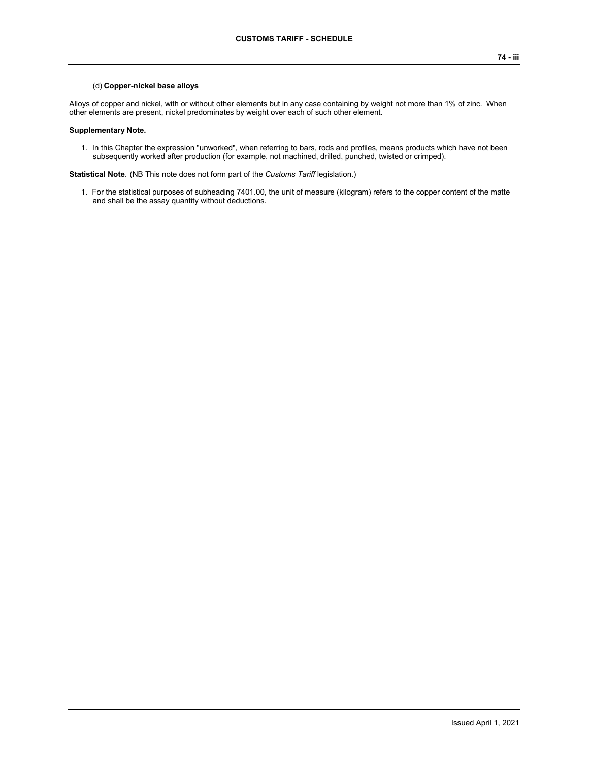Alloys of copper and nickel, with or without other elements but in any case containing by weight not more than 1% of zinc. When other elements are present, nickel predominates by weight over each of such other element.

# **Supplementary Note.**

1. In this Chapter the expression "unworked", when referring to bars, rods and profiles, means products which have not been subsequently worked after production (for example, not machined, drilled, punched, twisted or crimped).

**Statistical Note**. (NB This note does not form part of the *Customs Tariff* legislation.)

1. For the statistical purposes of subheading 7401.00, the unit of measure (kilogram) refers to the copper content of the matte and shall be the assay quantity without deductions.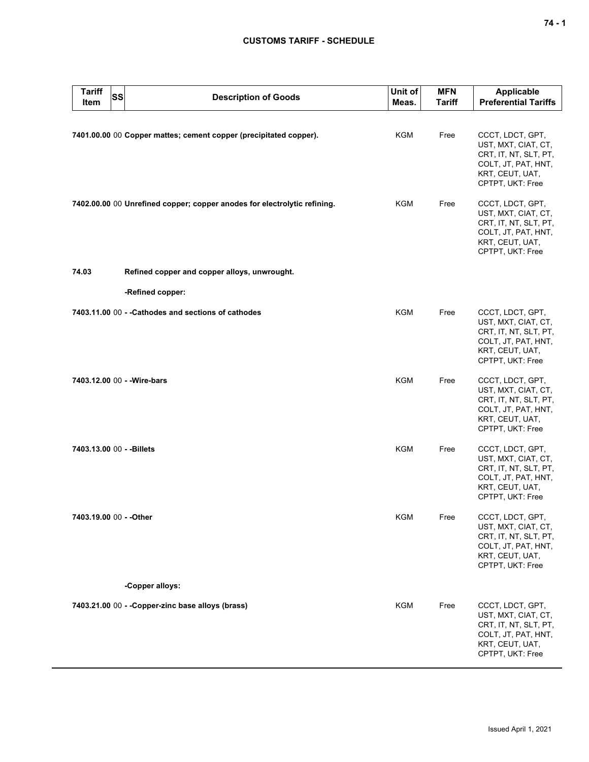# **CUSTOMS TARIFF - SCHEDULE**

| <b>Tariff</b><br><b>SS</b><br>Item | <b>Description of Goods</b>                                              | Unit of<br>Meas. | <b>MFN</b><br>Tariff | <b>Applicable</b><br><b>Preferential Tariffs</b>                                                                               |
|------------------------------------|--------------------------------------------------------------------------|------------------|----------------------|--------------------------------------------------------------------------------------------------------------------------------|
|                                    | 7401.00.00 00 Copper mattes; cement copper (precipitated copper).        | KGM              | Free                 | CCCT, LDCT, GPT,<br>UST, MXT, CIAT, CT,<br>CRT, IT, NT, SLT, PT,<br>COLT, JT, PAT, HNT,<br>KRT, CEUT, UAT,<br>CPTPT, UKT: Free |
|                                    | 7402.00.00 00 Unrefined copper; copper anodes for electrolytic refining. | KGM              | Free                 | CCCT, LDCT, GPT,<br>UST, MXT, CIAT, CT,<br>CRT, IT, NT, SLT, PT,<br>COLT, JT, PAT, HNT,<br>KRT, CEUT, UAT,<br>CPTPT, UKT: Free |
| 74.03                              | Refined copper and copper alloys, unwrought.                             |                  |                      |                                                                                                                                |
|                                    | -Refined copper:                                                         |                  |                      |                                                                                                                                |
|                                    | 7403.11.00 00 - - Cathodes and sections of cathodes                      | <b>KGM</b>       | Free                 | CCCT, LDCT, GPT,<br>UST, MXT, CIAT, CT,<br>CRT, IT, NT, SLT, PT,<br>COLT, JT, PAT, HNT,<br>KRT, CEUT, UAT,<br>CPTPT, UKT: Free |
|                                    | 7403.12.00 00 - - Wire-bars                                              | <b>KGM</b>       | Free                 | CCCT, LDCT, GPT,<br>UST, MXT, CIAT, CT,<br>CRT, IT, NT, SLT, PT,<br>COLT, JT, PAT, HNT,<br>KRT, CEUT, UAT,<br>CPTPT, UKT: Free |
| 7403.13.00 00 - - Billets          |                                                                          | <b>KGM</b>       | Free                 | CCCT, LDCT, GPT,<br>UST, MXT, CIAT, CT,<br>CRT, IT, NT, SLT, PT,<br>COLT, JT, PAT, HNT,<br>KRT, CEUT, UAT,<br>CPTPT, UKT: Free |
| 7403.19.00 00 - - Other            |                                                                          | KGM              | Free                 | CCCT, LDCT, GPT,<br>UST, MXT, CIAT, CT,<br>CRT, IT, NT, SLT, PT,<br>COLT, JT, PAT, HNT,<br>KRT, CEUT, UAT,<br>CPTPT, UKT: Free |
|                                    | -Copper alloys:                                                          |                  |                      |                                                                                                                                |
|                                    | 7403.21.00 00 - - Copper-zinc base alloys (brass)                        | KGM              | Free                 | CCCT, LDCT, GPT,<br>UST, MXT, CIAT, CT,<br>CRT, IT, NT, SLT, PT,<br>COLT, JT, PAT, HNT,<br>KRT, CEUT, UAT,<br>CPTPT, UKT: Free |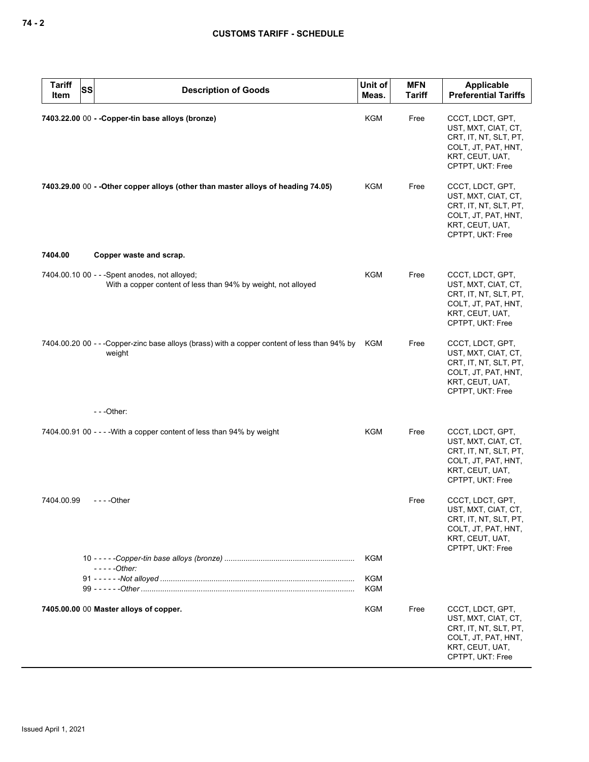| <b>Tariff</b><br><b>SS</b><br>Item | <b>Description of Goods</b>                                                                                     | Unit of<br>Meas.  | <b>MFN</b><br><b>Tariff</b> | <b>Applicable</b><br><b>Preferential Tariffs</b>                                                                               |
|------------------------------------|-----------------------------------------------------------------------------------------------------------------|-------------------|-----------------------------|--------------------------------------------------------------------------------------------------------------------------------|
|                                    | 7403.22.00 00 - - Copper-tin base alloys (bronze)                                                               | KGM               | Free                        | CCCT, LDCT, GPT,<br>UST, MXT, CIAT, CT,<br>CRT, IT, NT, SLT, PT,<br>COLT, JT, PAT, HNT,<br>KRT, CEUT, UAT,<br>CPTPT, UKT: Free |
|                                    | 7403.29.00 00 - - Other copper alloys (other than master alloys of heading 74.05)                               | KGM               | Free                        | CCCT, LDCT, GPT,<br>UST, MXT, CIAT, CT,<br>CRT, IT, NT, SLT, PT,<br>COLT, JT, PAT, HNT,<br>KRT, CEUT, UAT,<br>CPTPT, UKT: Free |
| 7404.00                            | Copper waste and scrap.                                                                                         |                   |                             |                                                                                                                                |
|                                    | 7404.00.10 00 - - - Spent anodes, not alloyed;<br>With a copper content of less than 94% by weight, not alloyed | <b>KGM</b>        | Free                        | CCCT, LDCT, GPT,<br>UST, MXT, CIAT, CT,<br>CRT, IT, NT, SLT, PT,<br>COLT, JT, PAT, HNT,<br>KRT, CEUT, UAT,<br>CPTPT, UKT: Free |
|                                    | 7404.00.20 00 - - - Copper-zinc base alloys (brass) with a copper content of less than 94% by<br>weight         | KGM               | Free                        | CCCT, LDCT, GPT,<br>UST, MXT, CIAT, CT,<br>CRT, IT, NT, SLT, PT,<br>COLT, JT, PAT, HNT,<br>KRT, CEUT, UAT,<br>CPTPT, UKT: Free |
|                                    | $--$ Other:                                                                                                     |                   |                             |                                                                                                                                |
|                                    | 7404.00.91 00 - - - - With a copper content of less than 94% by weight                                          | <b>KGM</b>        | Free                        | CCCT, LDCT, GPT,<br>UST, MXT, CIAT, CT,<br>CRT, IT, NT, SLT, PT,<br>COLT, JT, PAT, HNT,<br>KRT, CEUT, UAT,<br>CPTPT, UKT: Free |
| 7404.00.99                         | $--$ - Other                                                                                                    |                   | Free                        | CCCT, LDCT, GPT,<br>UST, MXT, CIAT, CT,<br>CRT, IT, NT, SLT, PT,<br>COLT, JT, PAT, HNT,<br>KRT, CEUT, UAT,<br>CPTPT, UKT: Free |
|                                    | - - - - - Other:                                                                                                | KGM               |                             |                                                                                                                                |
|                                    |                                                                                                                 | <b>KGM</b><br>KGM |                             |                                                                                                                                |
|                                    | 7405.00.00 00 Master alloys of copper.                                                                          | <b>KGM</b>        | Free                        | CCCT, LDCT, GPT,<br>UST, MXT, CIAT, CT,<br>CRT, IT, NT, SLT, PT,<br>COLT, JT, PAT, HNT,<br>KRT, CEUT, UAT,<br>CPTPT, UKT: Free |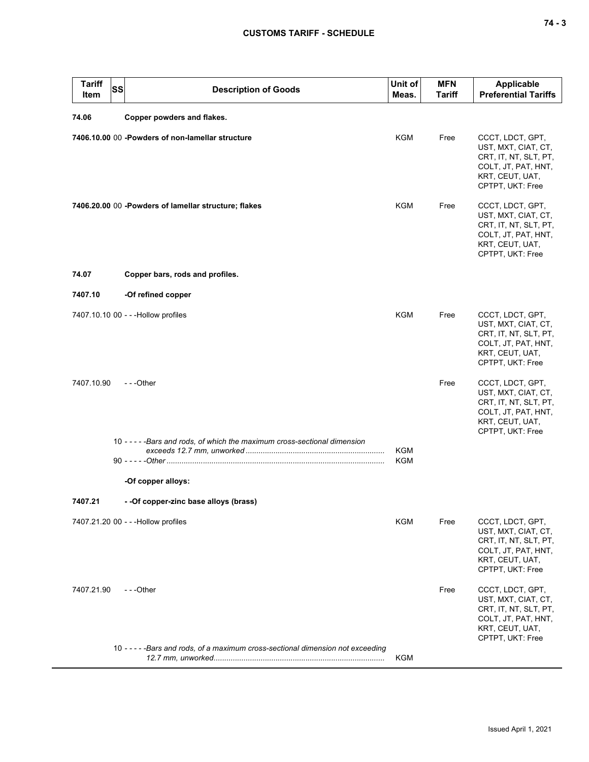| <b>Tariff</b><br>Item | SS | <b>Description of Goods</b>                                                      | Unit of<br>Meas. | <b>MFN</b><br><b>Tariff</b> | <b>Applicable</b><br><b>Preferential Tariffs</b>                                                                               |
|-----------------------|----|----------------------------------------------------------------------------------|------------------|-----------------------------|--------------------------------------------------------------------------------------------------------------------------------|
| 74.06                 |    | Copper powders and flakes.                                                       |                  |                             |                                                                                                                                |
|                       |    | 7406.10.00 00 - Powders of non-lamellar structure                                | <b>KGM</b>       | Free                        | CCCT, LDCT, GPT,<br>UST, MXT, CIAT, CT,<br>CRT, IT, NT, SLT, PT,<br>COLT, JT, PAT, HNT,<br>KRT, CEUT, UAT,<br>CPTPT, UKT: Free |
|                       |    | 7406.20.00 00 -Powders of lamellar structure; flakes                             | KGM              | Free                        | CCCT, LDCT, GPT,<br>UST, MXT, CIAT, CT,<br>CRT, IT, NT, SLT, PT,<br>COLT, JT, PAT, HNT,<br>KRT, CEUT, UAT,<br>CPTPT, UKT: Free |
| 74.07                 |    | Copper bars, rods and profiles.                                                  |                  |                             |                                                                                                                                |
| 7407.10               |    | -Of refined copper                                                               |                  |                             |                                                                                                                                |
|                       |    | 7407.10.10 00 - - - Hollow profiles                                              | KGM              | Free                        | CCCT, LDCT, GPT,<br>UST, MXT, CIAT, CT,<br>CRT, IT, NT, SLT, PT,<br>COLT, JT, PAT, HNT,<br>KRT, CEUT, UAT,<br>CPTPT, UKT: Free |
| 7407.10.90            |    | ---Other                                                                         |                  | Free                        | CCCT, LDCT, GPT,<br>UST, MXT, CIAT, CT,<br>CRT, IT, NT, SLT, PT,<br>COLT, JT, PAT, HNT,<br>KRT, CEUT, UAT,<br>CPTPT, UKT: Free |
|                       |    | 10 - - - - - Bars and rods, of which the maximum cross-sectional dimension       | KGM              |                             |                                                                                                                                |
|                       |    |                                                                                  | KGM              |                             |                                                                                                                                |
|                       |    | -Of copper alloys:                                                               |                  |                             |                                                                                                                                |
| 7407.21               |    | - - Of copper-zinc base alloys (brass)                                           |                  |                             |                                                                                                                                |
|                       |    | 7407.21.20 00 - - - Hollow profiles                                              | KGM              | Free                        | CCCT, LDCT, GPT,<br>UST, MXT, CIAT, CT,<br>CRT, IT, NT, SLT, PT,<br>COLT, JT, PAT, HNT,<br>KRT, CEUT, UAT,<br>CPTPT, UKT: Free |
| 7407.21.90            |    | ---Other                                                                         |                  | Free                        | CCCT, LDCT, GPT,<br>UST, MXT, CIAT, CT,<br>CRT, IT, NT, SLT, PT,<br>COLT, JT, PAT, HNT,<br>KRT, CEUT, UAT,<br>CPTPT, UKT: Free |
|                       |    | 10 - - - - - Bars and rods, of a maximum cross-sectional dimension not exceeding | KGM              |                             |                                                                                                                                |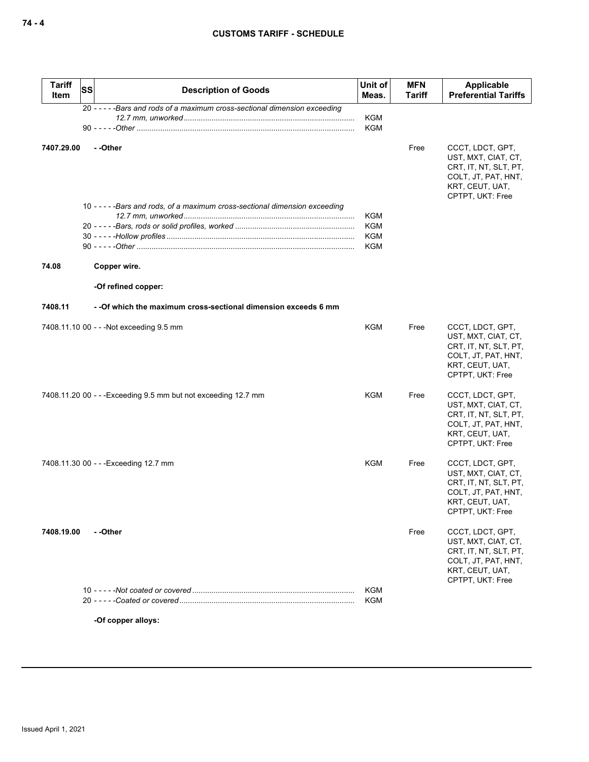| <b>Tariff</b><br>Item | SS | <b>Description of Goods</b>                                                 | Unit of<br>Meas.  | <b>MFN</b><br><b>Tariff</b> | Applicable<br><b>Preferential Tariffs</b>                                                                                      |
|-----------------------|----|-----------------------------------------------------------------------------|-------------------|-----------------------------|--------------------------------------------------------------------------------------------------------------------------------|
|                       |    | 20 - - - - - Bars and rods of a maximum cross-sectional dimension exceeding |                   |                             |                                                                                                                                |
|                       |    |                                                                             | KGM<br><b>KGM</b> |                             |                                                                                                                                |
|                       |    |                                                                             |                   |                             |                                                                                                                                |
| 7407.29.00            |    | --Other                                                                     |                   | Free                        | CCCT, LDCT, GPT,<br>UST, MXT, CIAT, CT,<br>CRT, IT, NT, SLT, PT,<br>COLT, JT, PAT, HNT,<br>KRT, CEUT, UAT,<br>CPTPT, UKT: Free |
|                       |    | 10 -----Bars and rods, of a maximum cross-sectional dimension exceeding     | KGM               |                             |                                                                                                                                |
|                       |    |                                                                             | <b>KGM</b>        |                             |                                                                                                                                |
|                       |    |                                                                             | <b>KGM</b>        |                             |                                                                                                                                |
|                       |    |                                                                             | <b>KGM</b>        |                             |                                                                                                                                |
| 74.08                 |    | Copper wire.                                                                |                   |                             |                                                                                                                                |
|                       |    | -Of refined copper:                                                         |                   |                             |                                                                                                                                |
| 7408.11               |    | - -Of which the maximum cross-sectional dimension exceeds 6 mm              |                   |                             |                                                                                                                                |
|                       |    | 7408.11.10 00 - - - Not exceeding 9.5 mm                                    | KGM               | Free                        | CCCT, LDCT, GPT,<br>UST, MXT, CIAT, CT,<br>CRT, IT, NT, SLT, PT,<br>COLT, JT, PAT, HNT,<br>KRT, CEUT, UAT,<br>CPTPT, UKT: Free |
|                       |    | 7408.11.20 00 - - - Exceeding 9.5 mm but not exceeding 12.7 mm              | KGM               | Free                        | CCCT, LDCT, GPT,<br>UST, MXT, CIAT, CT,<br>CRT, IT, NT, SLT, PT,<br>COLT, JT, PAT, HNT,<br>KRT, CEUT, UAT,<br>CPTPT, UKT: Free |
|                       |    | 7408.11.30 00 - - - Exceeding 12.7 mm                                       | KGM               | Free                        | CCCT, LDCT, GPT,<br>UST, MXT, CIAT, CT,<br>CRT, IT, NT, SLT, PT,<br>COLT, JT, PAT, HNT,<br>KRT, CEUT, UAT,<br>CPTPT, UKT: Free |
| 7408.19.00            |    | - -Other                                                                    |                   | Free                        | CCCT, LDCT, GPT,<br>UST, MXT, CIAT, CT,<br>CRT, IT, NT, SLT, PT,<br>COLT, JT, PAT, HNT,<br>KRT, CEUT, UAT,<br>CPTPT, UKT: Free |
|                       |    |                                                                             | KGM               |                             |                                                                                                                                |
|                       |    |                                                                             | KGM               |                             |                                                                                                                                |
|                       |    |                                                                             |                   |                             |                                                                                                                                |

**-Of copper alloys:**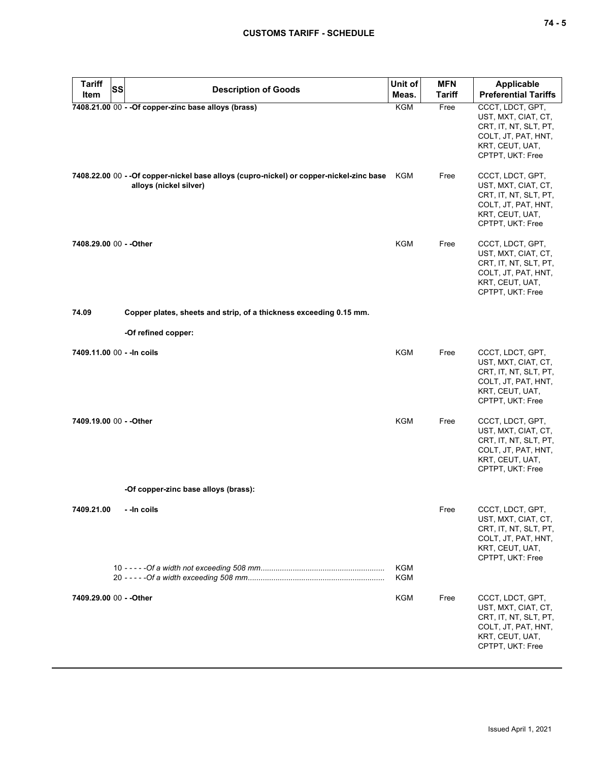| <b>Tariff</b>           | <b>SS</b><br><b>Description of Goods</b>                                                                          | Unit of                  | <b>MFN</b>    | <b>Applicable</b>                                                                                                              |
|-------------------------|-------------------------------------------------------------------------------------------------------------------|--------------------------|---------------|--------------------------------------------------------------------------------------------------------------------------------|
| Item                    |                                                                                                                   | Meas.                    | <b>Tariff</b> | <b>Preferential Tariffs</b>                                                                                                    |
|                         | 7408.21.00 00 - - Of copper-zinc base alloys (brass)                                                              | <b>KGM</b>               | Free          | CCCT, LDCT, GPT,<br>UST, MXT, CIAT, CT,<br>CRT, IT, NT, SLT, PT,<br>COLT, JT, PAT, HNT,<br>KRT, CEUT, UAT,<br>CPTPT, UKT: Free |
|                         | 7408.22.00 00 -- Of copper-nickel base alloys (cupro-nickel) or copper-nickel-zinc base<br>alloys (nickel silver) | KGM                      | Free          | CCCT, LDCT, GPT,<br>UST, MXT, CIAT, CT,<br>CRT, IT, NT, SLT, PT,<br>COLT, JT, PAT, HNT,<br>KRT, CEUT, UAT,<br>CPTPT, UKT: Free |
| 7408.29.00 00 - - Other |                                                                                                                   | <b>KGM</b>               | Free          | CCCT, LDCT, GPT,<br>UST, MXT, CIAT, CT,<br>CRT, IT, NT, SLT, PT,<br>COLT, JT, PAT, HNT,<br>KRT, CEUT, UAT,<br>CPTPT, UKT: Free |
| 74.09                   | Copper plates, sheets and strip, of a thickness exceeding 0.15 mm.                                                |                          |               |                                                                                                                                |
|                         | -Of refined copper:                                                                                               |                          |               |                                                                                                                                |
|                         | 7409.11.00 00 - - In coils                                                                                        | KGM                      | Free          | CCCT, LDCT, GPT,<br>UST, MXT, CIAT, CT,<br>CRT, IT, NT, SLT, PT,<br>COLT, JT, PAT, HNT,<br>KRT, CEUT, UAT,<br>CPTPT, UKT: Free |
| 7409.19.00 00 - - Other |                                                                                                                   | <b>KGM</b>               | Free          | CCCT, LDCT, GPT,<br>UST, MXT, CIAT, CT,<br>CRT, IT, NT, SLT, PT,<br>COLT, JT, PAT, HNT,<br>KRT, CEUT, UAT,<br>CPTPT, UKT: Free |
|                         | -Of copper-zinc base alloys (brass):                                                                              |                          |               |                                                                                                                                |
| 7409.21.00              | - -In coils                                                                                                       |                          | Free          | CCCT, LDCT, GPT,<br>UST, MXT, CIAT, CT,<br>CRT, IT, NT, SLT, PT,<br>COLT, JT, PAT, HNT,<br>KRT, CEUT, UAT,<br>CPTPT, UKT: Free |
|                         |                                                                                                                   | <b>KGM</b><br><b>KGM</b> |               |                                                                                                                                |
| 7409.29.00 00 - - Other |                                                                                                                   | KGM                      | Free          | CCCT, LDCT, GPT,<br>UST, MXT, CIAT, CT,<br>CRT, IT, NT, SLT, PT,<br>COLT, JT, PAT, HNT,<br>KRT, CEUT, UAT,<br>CPTPT, UKT: Free |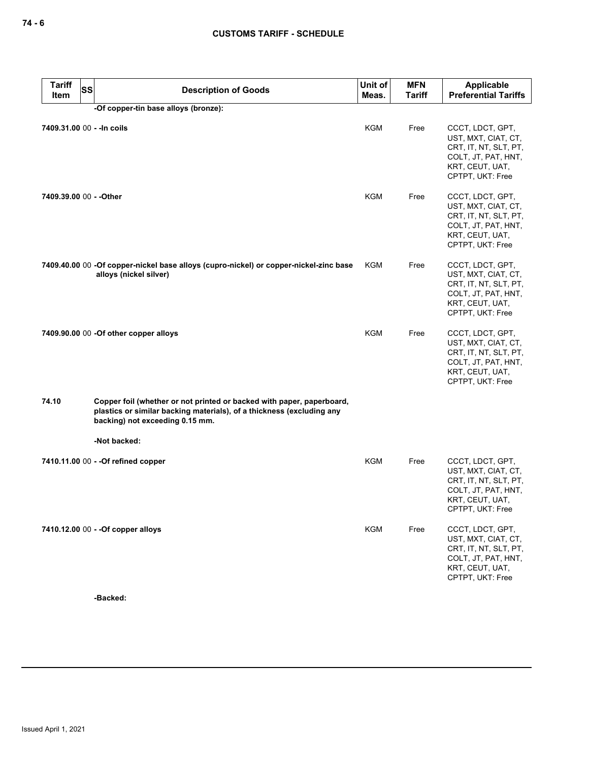| <b>Tariff</b><br>Item   | <b>SS</b> | <b>Description of Goods</b>                                                                                                                                                       | Unit of<br>Meas. | <b>MFN</b><br><b>Tariff</b> | Applicable<br><b>Preferential Tariffs</b>                                                                                      |
|-------------------------|-----------|-----------------------------------------------------------------------------------------------------------------------------------------------------------------------------------|------------------|-----------------------------|--------------------------------------------------------------------------------------------------------------------------------|
|                         |           | -Of copper-tin base alloys (bronze):                                                                                                                                              |                  |                             |                                                                                                                                |
|                         |           | 7409.31.00 00 - - In coils                                                                                                                                                        | KGM              | Free                        | CCCT, LDCT, GPT,<br>UST, MXT, CIAT, CT,<br>CRT, IT, NT, SLT, PT,<br>COLT, JT, PAT, HNT,<br>KRT, CEUT, UAT,<br>CPTPT, UKT: Free |
| 7409.39.00 00 - - Other |           |                                                                                                                                                                                   | <b>KGM</b>       | Free                        | CCCT, LDCT, GPT,<br>UST, MXT, CIAT, CT,<br>CRT, IT, NT, SLT, PT,<br>COLT, JT, PAT, HNT,<br>KRT, CEUT, UAT,<br>CPTPT, UKT: Free |
|                         |           | 7409.40.00 00 -Of copper-nickel base alloys (cupro-nickel) or copper-nickel-zinc base<br>alloys (nickel silver)                                                                   | KGM              | Free                        | CCCT, LDCT, GPT,<br>UST, MXT, CIAT, CT,<br>CRT, IT, NT, SLT, PT,<br>COLT, JT, PAT, HNT,<br>KRT, CEUT, UAT,<br>CPTPT, UKT: Free |
|                         |           | 7409.90.00 00 -Of other copper alloys                                                                                                                                             | KGM              | Free                        | CCCT, LDCT, GPT,<br>UST, MXT, CIAT, CT,<br>CRT, IT, NT, SLT, PT,<br>COLT, JT, PAT, HNT,<br>KRT, CEUT, UAT,<br>CPTPT, UKT: Free |
| 74.10                   |           | Copper foil (whether or not printed or backed with paper, paperboard,<br>plastics or similar backing materials), of a thickness (excluding any<br>backing) not exceeding 0.15 mm. |                  |                             |                                                                                                                                |
|                         |           | -Not backed:                                                                                                                                                                      |                  |                             |                                                                                                                                |
|                         |           | 7410.11.00 00 - - Of refined copper                                                                                                                                               | KGM              | Free                        | CCCT, LDCT, GPT,<br>UST, MXT, CIAT, CT,<br>CRT, IT, NT, SLT, PT,<br>COLT, JT, PAT, HNT,<br>KRT, CEUT, UAT,<br>CPTPT, UKT: Free |
|                         |           | 7410.12.00 00 - - Of copper alloys                                                                                                                                                | <b>KGM</b>       | Free                        | CCCT, LDCT, GPT,<br>UST, MXT, CIAT, CT,<br>CRT, IT, NT, SLT, PT,<br>COLT, JT, PAT, HNT,<br>KRT, CEUT, UAT,<br>CPTPT, UKT: Free |

**-Backed:**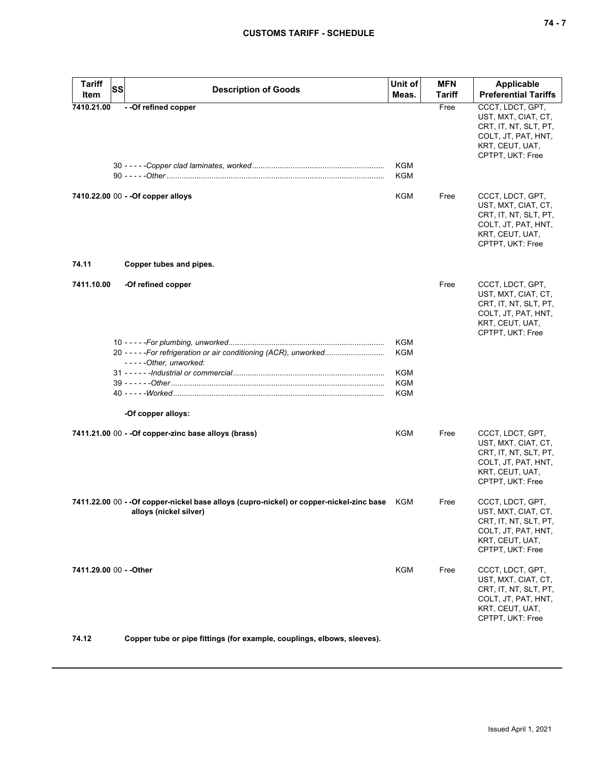| <b>Tariff</b><br><b>SS</b><br>Item | <b>Description of Goods</b>                                                                                           | Unit of<br>Meas.         | <b>MFN</b><br>Tariff | Applicable<br><b>Preferential Tariffs</b>                                                                                      |
|------------------------------------|-----------------------------------------------------------------------------------------------------------------------|--------------------------|----------------------|--------------------------------------------------------------------------------------------------------------------------------|
| 7410.21.00                         | - - Of refined copper                                                                                                 | KGM<br>KGM               | Free                 | CCCT, LDCT, GPT,<br>UST, MXT, CIAT, CT,<br>CRT, IT, NT, SLT, PT,<br>COLT, JT, PAT, HNT,<br>KRT, CEUT, UAT,<br>CPTPT, UKT: Free |
|                                    | 7410.22.00 00 - - Of copper alloys                                                                                    | KGM                      | Free                 | CCCT, LDCT, GPT,<br>UST, MXT, CIAT, CT,<br>CRT, IT, NT, SLT, PT,<br>COLT, JT, PAT, HNT,<br>KRT, CEUT, UAT,<br>CPTPT, UKT: Free |
| 74.11                              | Copper tubes and pipes.                                                                                               |                          |                      |                                                                                                                                |
| 7411.10.00                         | -Of refined copper                                                                                                    |                          | Free                 | CCCT, LDCT, GPT,<br>UST, MXT, CIAT, CT,<br>CRT, IT, NT, SLT, PT,<br>COLT, JT, PAT, HNT,<br>KRT, CEUT, UAT,<br>CPTPT, UKT: Free |
|                                    | 20 - - - - - For refrigeration or air conditioning (ACR), unworked<br>-----Other, unworked:                           | KGM<br>KGM               |                      |                                                                                                                                |
|                                    |                                                                                                                       | <b>KGM</b><br>KGM<br>KGM |                      |                                                                                                                                |
|                                    | -Of copper alloys:                                                                                                    |                          |                      |                                                                                                                                |
|                                    | 7411.21.00 00 - - Of copper-zinc base alloys (brass)                                                                  | KGM                      | Free                 | CCCT, LDCT, GPT,<br>UST, MXT, CIAT, CT,<br>CRT, IT, NT, SLT, PT,<br>COLT, JT, PAT, HNT,<br>KRT, CEUT, UAT,<br>CPTPT, UKT: Free |
|                                    | 7411.22.00 00 - -Of copper-nickel base alloys (cupro-nickel) or copper-nickel-zinc base KGM<br>alloys (nickel silver) |                          | Free                 | CCCT, LDCT, GPT,<br>UST, MXT, CIAT, CT,<br>CRT, IT, NT, SLT, PT,<br>COLT, JT, PAT, HNT,<br>KRT, CEUT, UAT,<br>CPTPT, UKT: Free |
| 7411.29.00 00 - - Other            |                                                                                                                       | KGM                      | Free                 | CCCT, LDCT, GPT,<br>UST, MXT, CIAT, CT,<br>CRT, IT, NT, SLT, PT,<br>COLT, JT, PAT, HNT,<br>KRT, CEUT, UAT,<br>CPTPT, UKT: Free |

**74.12 Copper tube or pipe fittings (for example, couplings, elbows, sleeves).**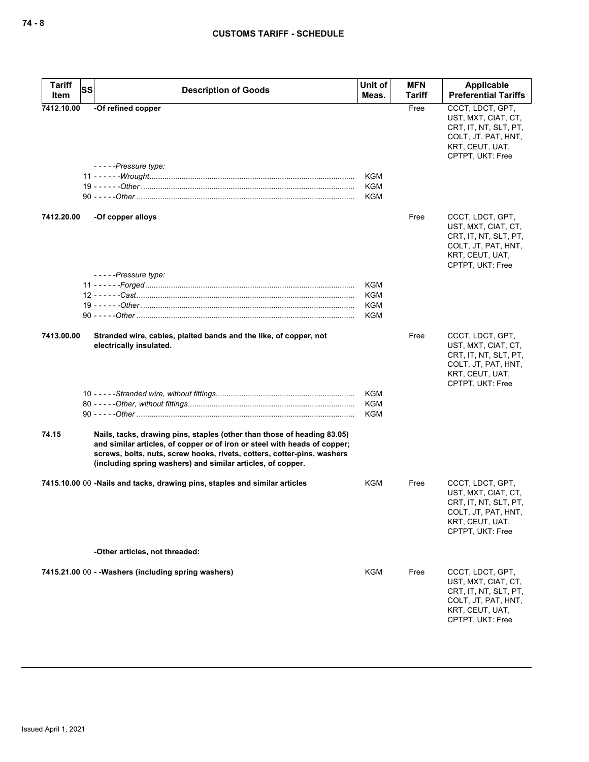| <b>Tariff</b> | <b>SS</b> | <b>Description of Goods</b>                                                                                                                                                                                                                                                                    | Unit of                         | <b>MFN</b> | Applicable                                                                                                                     |
|---------------|-----------|------------------------------------------------------------------------------------------------------------------------------------------------------------------------------------------------------------------------------------------------------------------------------------------------|---------------------------------|------------|--------------------------------------------------------------------------------------------------------------------------------|
| Item          |           |                                                                                                                                                                                                                                                                                                | Meas.                           | Tariff     | <b>Preferential Tariffs</b>                                                                                                    |
| 7412.10.00    |           | -Of refined copper<br>$---$ Pressure type:                                                                                                                                                                                                                                                     |                                 | Free       | CCCT, LDCT, GPT,<br>UST, MXT, CIAT, CT,<br>CRT, IT, NT, SLT, PT,<br>COLT, JT, PAT, HNT,<br>KRT, CEUT, UAT,<br>CPTPT, UKT: Free |
|               |           |                                                                                                                                                                                                                                                                                                | <b>KGM</b><br>KGM<br><b>KGM</b> |            |                                                                                                                                |
| 7412.20.00    |           | -Of copper alloys                                                                                                                                                                                                                                                                              |                                 | Free       | CCCT, LDCT, GPT,<br>UST, MXT, CIAT, CT,<br>CRT, IT, NT, SLT, PT,<br>COLT, JT, PAT, HNT,<br>KRT, CEUT, UAT,<br>CPTPT, UKT: Free |
|               |           | $---$ Pressure type:                                                                                                                                                                                                                                                                           |                                 |            |                                                                                                                                |
|               |           |                                                                                                                                                                                                                                                                                                | KGM                             |            |                                                                                                                                |
|               |           |                                                                                                                                                                                                                                                                                                | KGM                             |            |                                                                                                                                |
|               |           |                                                                                                                                                                                                                                                                                                | <b>KGM</b>                      |            |                                                                                                                                |
|               |           |                                                                                                                                                                                                                                                                                                | KGM                             |            |                                                                                                                                |
| 7413.00.00    |           | Stranded wire, cables, plaited bands and the like, of copper, not<br>electrically insulated.                                                                                                                                                                                                   |                                 | Free       | CCCT, LDCT, GPT,<br>UST, MXT, CIAT, CT,<br>CRT, IT, NT, SLT, PT,<br>COLT, JT, PAT, HNT,<br>KRT, CEUT, UAT,<br>CPTPT, UKT: Free |
|               |           |                                                                                                                                                                                                                                                                                                | KGM                             |            |                                                                                                                                |
|               |           |                                                                                                                                                                                                                                                                                                | KGM                             |            |                                                                                                                                |
|               |           |                                                                                                                                                                                                                                                                                                | KGM                             |            |                                                                                                                                |
| 74.15         |           | Nails, tacks, drawing pins, staples (other than those of heading 83.05)<br>and similar articles, of copper or of iron or steel with heads of copper;<br>screws, bolts, nuts, screw hooks, rivets, cotters, cotter-pins, washers<br>(including spring washers) and similar articles, of copper. |                                 |            |                                                                                                                                |
|               |           | 7415.10.00 00 -Nails and tacks, drawing pins, staples and similar articles                                                                                                                                                                                                                     | KGM                             | Free       | CCCT, LDCT, GPT,<br>UST, MXT, CIAT, CT,<br>CRT, IT, NT, SLT, PT,<br>COLT, JT, PAT, HNT,<br>KRT, CEUT, UAT,<br>CPTPT, UKT: Free |
|               |           | -Other articles, not threaded:                                                                                                                                                                                                                                                                 |                                 |            |                                                                                                                                |
|               |           | 7415.21.00 00 - - Washers (including spring washers)                                                                                                                                                                                                                                           | KGM                             | Free       | CCCT, LDCT, GPT,<br>UST, MXT, CIAT, CT,<br>CRT, IT, NT, SLT, PT,<br>COLT, JT, PAT, HNT,<br>KRT, CEUT, UAT,<br>CPTPT, UKT: Free |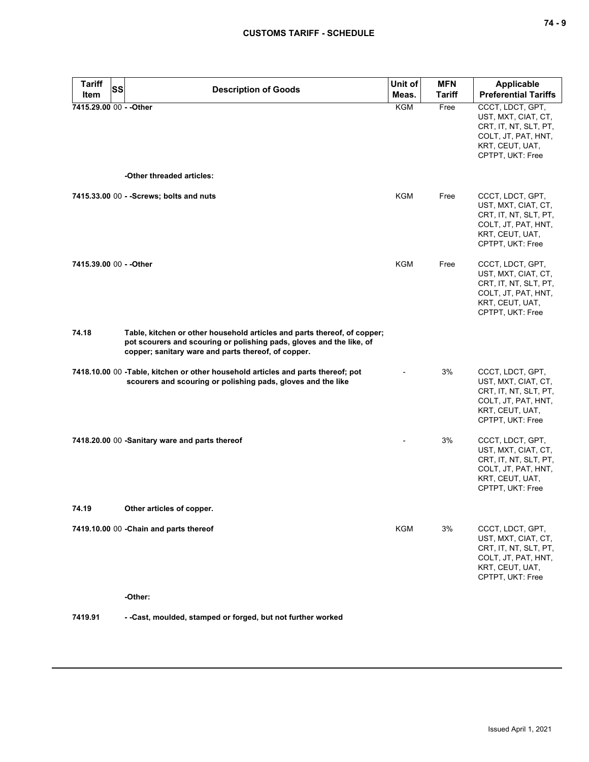| <b>Tariff</b>           | SS<br><b>Description of Goods</b>                                                                                                                                                                       | Unit of | <b>MFN</b>    | <b>Applicable</b>                                                                                                              |
|-------------------------|---------------------------------------------------------------------------------------------------------------------------------------------------------------------------------------------------------|---------|---------------|--------------------------------------------------------------------------------------------------------------------------------|
| Item                    |                                                                                                                                                                                                         | Meas.   | <b>Tariff</b> | <b>Preferential Tariffs</b>                                                                                                    |
| 7415.29.00 00 - - Other | -Other threaded articles:                                                                                                                                                                               | KGM     | Free          | CCCT, LDCT, GPT,<br>UST, MXT, CIAT, CT,<br>CRT, IT, NT, SLT, PT,<br>COLT, JT, PAT, HNT,<br>KRT, CEUT, UAT,<br>CPTPT, UKT: Free |
|                         |                                                                                                                                                                                                         |         |               |                                                                                                                                |
|                         | 7415.33.00 00 - - Screws; bolts and nuts                                                                                                                                                                | KGM     | Free          | CCCT, LDCT, GPT,<br>UST, MXT, CIAT, CT,<br>CRT, IT, NT, SLT, PT,<br>COLT, JT, PAT, HNT,<br>KRT, CEUT, UAT,<br>CPTPT, UKT: Free |
| 7415.39.00 00 - - Other |                                                                                                                                                                                                         | KGM     | Free          | CCCT, LDCT, GPT,<br>UST, MXT, CIAT, CT,<br>CRT, IT, NT, SLT, PT,<br>COLT, JT, PAT, HNT,<br>KRT, CEUT, UAT,<br>CPTPT, UKT: Free |
| 74.18                   | Table, kitchen or other household articles and parts thereof, of copper;<br>pot scourers and scouring or polishing pads, gloves and the like, of<br>copper; sanitary ware and parts thereof, of copper. |         |               |                                                                                                                                |
|                         | 7418.10.00 00 -Table, kitchen or other household articles and parts thereof; pot<br>scourers and scouring or polishing pads, gloves and the like                                                        |         | 3%            | CCCT, LDCT, GPT,<br>UST, MXT, CIAT, CT,<br>CRT, IT, NT, SLT, PT,<br>COLT, JT, PAT, HNT,<br>KRT, CEUT, UAT,<br>CPTPT, UKT: Free |
|                         | 7418.20.00 00 -Sanitary ware and parts thereof                                                                                                                                                          |         | 3%            | CCCT, LDCT, GPT,<br>UST, MXT, CIAT, CT,<br>CRT, IT, NT, SLT, PT,<br>COLT, JT, PAT, HNT,<br>KRT, CEUT, UAT,<br>CPTPT, UKT: Free |
| 74.19                   | Other articles of copper.                                                                                                                                                                               |         |               |                                                                                                                                |
|                         | 7419.10.00 00 - Chain and parts thereof                                                                                                                                                                 | KGM     | 3%            | CCCT, LDCT, GPT,<br>UST, MXT, CIAT, CT,<br>CRT, IT, NT, SLT, PT,<br>COLT, JT, PAT, HNT,<br>KRT, CEUT, UAT,<br>CPTPT, UKT: Free |
|                         | -Other:                                                                                                                                                                                                 |         |               |                                                                                                                                |
| 7419.91                 | - - Cast, moulded, stamped or forged, but not further worked                                                                                                                                            |         |               |                                                                                                                                |